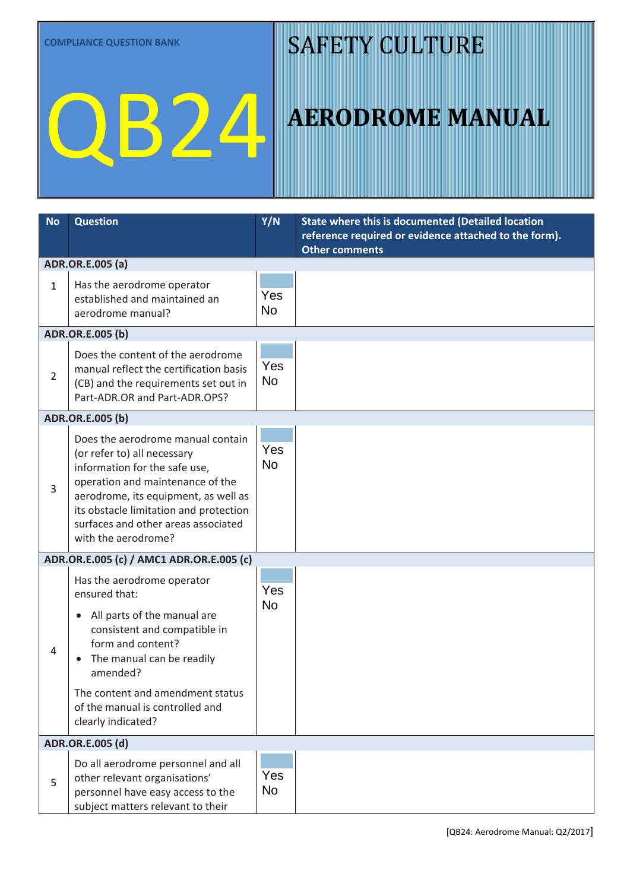# QB24

### SAFETY CULTURE

| <b>No</b>      | <b>Question</b>                                                                                                                                                                                                                                                                       | Y/N              | State where this is documented (Detailed location<br>reference required or evidence attached to the form). |
|----------------|---------------------------------------------------------------------------------------------------------------------------------------------------------------------------------------------------------------------------------------------------------------------------------------|------------------|------------------------------------------------------------------------------------------------------------|
|                |                                                                                                                                                                                                                                                                                       |                  | <b>Other comments</b>                                                                                      |
|                | ADR.OR.E.005 (a)                                                                                                                                                                                                                                                                      |                  |                                                                                                            |
| $\mathbf{1}$   | Has the aerodrome operator<br>established and maintained an<br>aerodrome manual?                                                                                                                                                                                                      | Yes<br><b>No</b> |                                                                                                            |
|                | ADR.OR.E.005 (b)                                                                                                                                                                                                                                                                      |                  |                                                                                                            |
| $\overline{2}$ | Does the content of the aerodrome<br>manual reflect the certification basis<br>(CB) and the requirements set out in<br>Part-ADR.OR and Part-ADR.OPS?                                                                                                                                  | Yes<br><b>No</b> |                                                                                                            |
|                | ADR.OR.E.005 (b)                                                                                                                                                                                                                                                                      |                  |                                                                                                            |
| 3              | Does the aerodrome manual contain<br>(or refer to) all necessary<br>information for the safe use,<br>operation and maintenance of the<br>aerodrome, its equipment, as well as<br>its obstacle limitation and protection<br>surfaces and other areas associated<br>with the aerodrome? | Yes<br><b>No</b> |                                                                                                            |
|                | ADR.OR.E.005 (c) / AMC1 ADR.OR.E.005 (c)                                                                                                                                                                                                                                              |                  |                                                                                                            |
| 4              | Has the aerodrome operator<br>ensured that:<br>• All parts of the manual are<br>consistent and compatible in<br>form and content?<br>The manual can be readily<br>amended?                                                                                                            | Yes<br><b>No</b> |                                                                                                            |
|                | The content and amendment status<br>of the manual is controlled and<br>clearly indicated?                                                                                                                                                                                             |                  |                                                                                                            |
|                | ADR.OR.E.005 (d)                                                                                                                                                                                                                                                                      |                  |                                                                                                            |
| 5              | Do all aerodrome personnel and all<br>other relevant organisations'<br>personnel have easy access to the<br>subject matters relevant to their                                                                                                                                         | Yes<br><b>No</b> |                                                                                                            |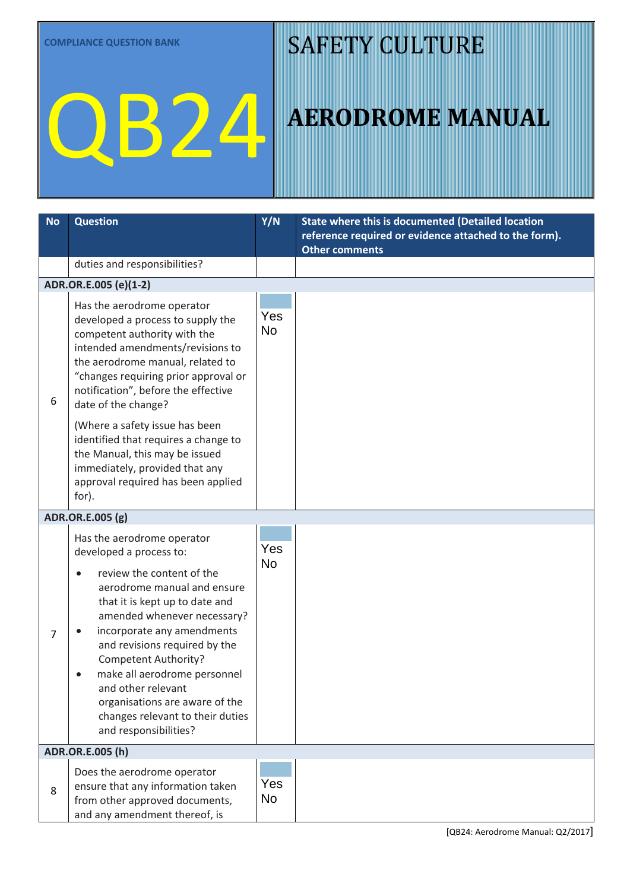# QB24

### SAFETY CULTURE

| <b>No</b>        | <b>Question</b>                                                                                                                                                                                                                                                                                                                                                                                                     | Y/N                     | State where this is documented (Detailed location<br>reference required or evidence attached to the form).<br><b>Other comments</b> |  |
|------------------|---------------------------------------------------------------------------------------------------------------------------------------------------------------------------------------------------------------------------------------------------------------------------------------------------------------------------------------------------------------------------------------------------------------------|-------------------------|-------------------------------------------------------------------------------------------------------------------------------------|--|
|                  | duties and responsibilities?                                                                                                                                                                                                                                                                                                                                                                                        |                         |                                                                                                                                     |  |
|                  | ADR.OR.E.005 (e)(1-2)                                                                                                                                                                                                                                                                                                                                                                                               |                         |                                                                                                                                     |  |
| 6                | Has the aerodrome operator<br>developed a process to supply the<br>competent authority with the<br>intended amendments/revisions to<br>the aerodrome manual, related to<br>"changes requiring prior approval or<br>notification", before the effective<br>date of the change?<br>(Where a safety issue has been<br>identified that requires a change to                                                             | Yes<br><b>No</b>        |                                                                                                                                     |  |
|                  | the Manual, this may be issued<br>immediately, provided that any<br>approval required has been applied<br>for).                                                                                                                                                                                                                                                                                                     |                         |                                                                                                                                     |  |
|                  | ADR.OR.E.005 (g)                                                                                                                                                                                                                                                                                                                                                                                                    |                         |                                                                                                                                     |  |
| 7                | Has the aerodrome operator<br>developed a process to:                                                                                                                                                                                                                                                                                                                                                               | Yes<br><b>No</b>        |                                                                                                                                     |  |
|                  | review the content of the<br>$\bullet$<br>aerodrome manual and ensure<br>that it is kept up to date and<br>amended whenever necessary?<br>incorporate any amendments<br>$\bullet$<br>and revisions required by the<br><b>Competent Authority?</b><br>make all aerodrome personnel<br>$\bullet$<br>and other relevant<br>organisations are aware of the<br>changes relevant to their duties<br>and responsibilities? |                         |                                                                                                                                     |  |
| ADR.OR.E.005 (h) |                                                                                                                                                                                                                                                                                                                                                                                                                     |                         |                                                                                                                                     |  |
| 8                | Does the aerodrome operator<br>ensure that any information taken<br>from other approved documents,<br>and any amendment thereof, is                                                                                                                                                                                                                                                                                 | <b>Yes</b><br><b>No</b> |                                                                                                                                     |  |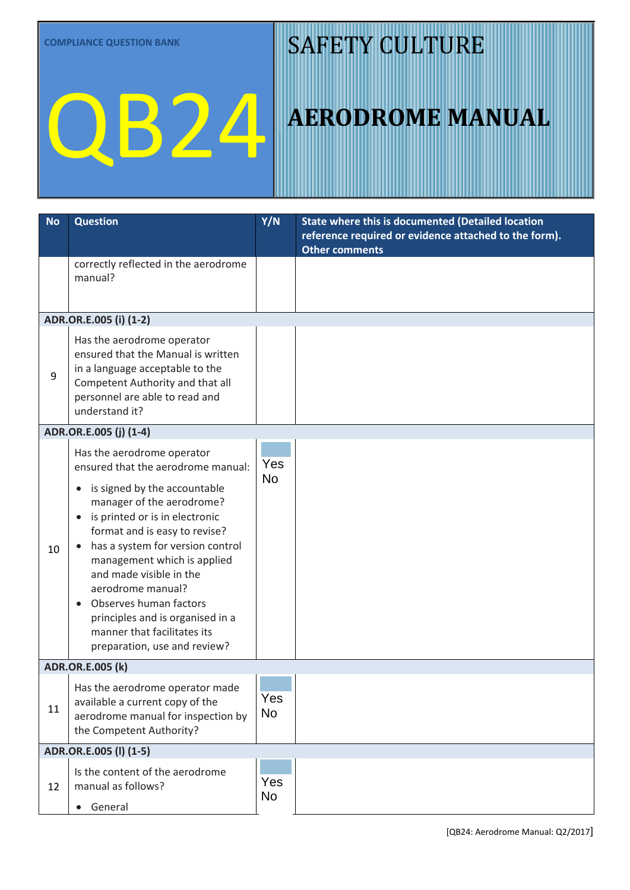# QB24

### SAFETY CULTURE

| <b>No</b> | <b>Question</b>                                                                                                                                                                                                                                                                                                                                                                                                                                                            | Y/N              | <b>State where this is documented (Detailed location</b><br>reference required or evidence attached to the form).<br><b>Other comments</b> |  |  |  |
|-----------|----------------------------------------------------------------------------------------------------------------------------------------------------------------------------------------------------------------------------------------------------------------------------------------------------------------------------------------------------------------------------------------------------------------------------------------------------------------------------|------------------|--------------------------------------------------------------------------------------------------------------------------------------------|--|--|--|
|           | correctly reflected in the aerodrome<br>manual?                                                                                                                                                                                                                                                                                                                                                                                                                            |                  |                                                                                                                                            |  |  |  |
|           | ADR.OR.E.005 (i) (1-2)                                                                                                                                                                                                                                                                                                                                                                                                                                                     |                  |                                                                                                                                            |  |  |  |
| 9         | Has the aerodrome operator<br>ensured that the Manual is written<br>in a language acceptable to the<br>Competent Authority and that all<br>personnel are able to read and<br>understand it?                                                                                                                                                                                                                                                                                | Yes<br><b>No</b> |                                                                                                                                            |  |  |  |
|           | ADR.OR.E.005 (j) (1-4)                                                                                                                                                                                                                                                                                                                                                                                                                                                     |                  |                                                                                                                                            |  |  |  |
| 10        | Has the aerodrome operator<br>ensured that the aerodrome manual:<br>is signed by the accountable<br>$\bullet$<br>manager of the aerodrome?<br>is printed or is in electronic<br>$\bullet$<br>format and is easy to revise?<br>has a system for version control<br>management which is applied<br>and made visible in the<br>aerodrome manual?<br>Observes human factors<br>principles and is organised in a<br>manner that facilitates its<br>preparation, use and review? | Yes<br><b>No</b> |                                                                                                                                            |  |  |  |
|           | <b>ADR.OR.E.005 (k)</b>                                                                                                                                                                                                                                                                                                                                                                                                                                                    |                  |                                                                                                                                            |  |  |  |
| 11        | Has the aerodrome operator made<br>available a current copy of the<br>aerodrome manual for inspection by<br>the Competent Authority?                                                                                                                                                                                                                                                                                                                                       | Yes<br><b>No</b> |                                                                                                                                            |  |  |  |
|           | ADR.OR.E.005 (I) (1-5)                                                                                                                                                                                                                                                                                                                                                                                                                                                     |                  |                                                                                                                                            |  |  |  |
| 12        | Is the content of the aerodrome<br>manual as follows?<br>• General                                                                                                                                                                                                                                                                                                                                                                                                         | Yes<br><b>No</b> |                                                                                                                                            |  |  |  |
|           |                                                                                                                                                                                                                                                                                                                                                                                                                                                                            |                  |                                                                                                                                            |  |  |  |